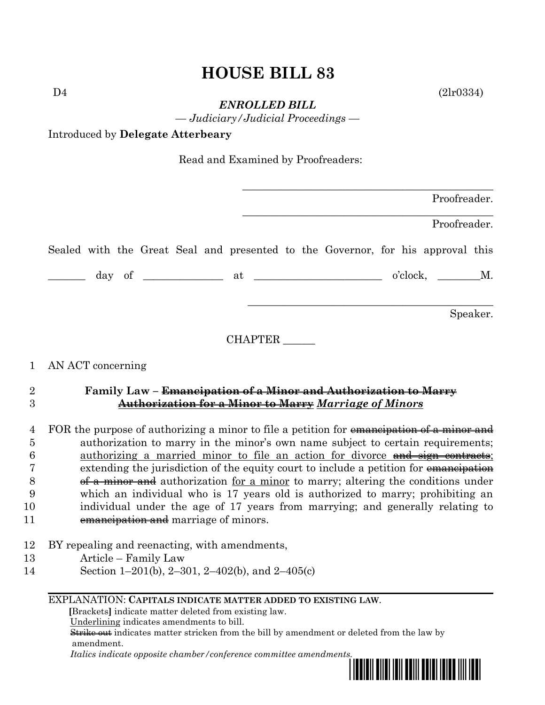# **HOUSE BILL 83**

 $D4$  (2lr0334)

*ENROLLED BILL*

*— Judiciary/Judicial Proceedings —*

Introduced by **Delegate Atterbeary**

Read and Examined by Proofreaders:

|  |  |  |  |                                                                                                                                                                                      |  | Proofreader. |          |
|--|--|--|--|--------------------------------------------------------------------------------------------------------------------------------------------------------------------------------------|--|--------------|----------|
|  |  |  |  |                                                                                                                                                                                      |  | Proofreader. |          |
|  |  |  |  | Sealed with the Great Seal and presented to the Governor, for his approval this                                                                                                      |  |              |          |
|  |  |  |  | day of $\begin{array}{c} \text{day} \\ \text{day} \end{array}$ at $\begin{array}{c} \text{at} \\ \text{d} \end{array}$ o'clock, $\begin{array}{c} \text{m.} \\ \text{d} \end{array}$ |  |              |          |
|  |  |  |  |                                                                                                                                                                                      |  |              | Speaker. |

CHAPTER \_\_\_\_\_\_

### 1 AN ACT concerning

## 2 **Family Law – Emancipation of a Minor and Authorization to Marry** 3 **Authorization for a Minor to Marry** *Marriage of Minors*

4 FOR the purpose of authorizing a minor to file a petition for emancipation of a minor and 5 authorization to marry in the minor's own name subject to certain requirements; 6 authorizing a married minor to file an action for divorce and sign contracts; 7 extending the jurisdiction of the equity court to include a petition for emancipation 8 <del>of a minor and</del> authorization for a minor to marry; altering the conditions under 9 which an individual who is 17 years old is authorized to marry; prohibiting an 10 individual under the age of 17 years from marrying; and generally relating to 11 **emancipation and** marriage of minors.

- 12 BY repealing and reenacting, with amendments,
- 13 Article Family Law
- 14 Section 1–201(b), 2–301, 2–402(b), and 2–405(c)

### EXPLANATION: **CAPITALS INDICATE MATTER ADDED TO EXISTING LAW**.

 **[**Brackets**]** indicate matter deleted from existing law.

Underlining indicates amendments to bill.

 Strike out indicates matter stricken from the bill by amendment or deleted from the law by amendment.

 *Italics indicate opposite chamber/conference committee amendments.*

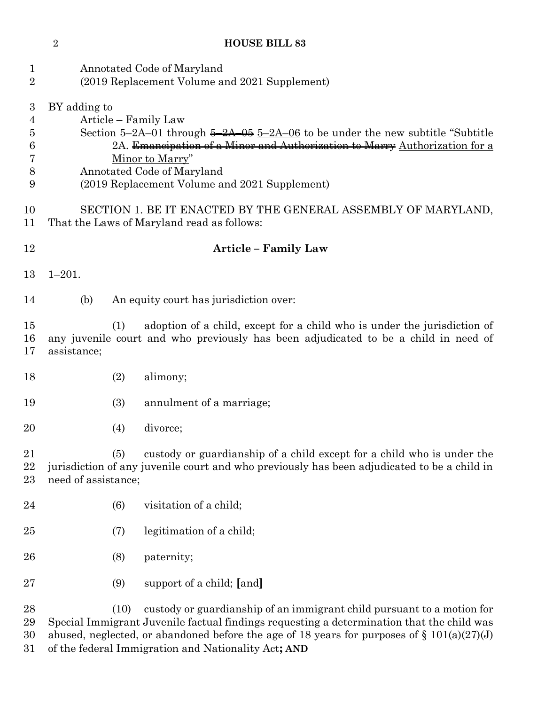## **HOUSE BILL 83**

| 1<br>$\overline{2}$                            |                                      | Annotated Code of Maryland<br>(2019 Replacement Volume and 2021 Supplement)                                                                                                                                                                                                                                                 |
|------------------------------------------------|--------------------------------------|-----------------------------------------------------------------------------------------------------------------------------------------------------------------------------------------------------------------------------------------------------------------------------------------------------------------------------|
| $\boldsymbol{3}$<br>4<br>5<br>6<br>7<br>8<br>9 | BY adding to<br>Article – Family Law | Section 5–2A–01 through $\frac{5-2A-05}{5-2A-06}$ to be under the new subtitle "Subtitle"<br>2A. Emancipation of a Minor and Authorization to Marry Authorization for a<br>Minor to Marry"<br>Annotated Code of Maryland<br>(2019 Replacement Volume and 2021 Supplement)                                                   |
| 10<br>11                                       |                                      | SECTION 1. BE IT ENACTED BY THE GENERAL ASSEMBLY OF MARYLAND,<br>That the Laws of Maryland read as follows:                                                                                                                                                                                                                 |
| 12                                             |                                      | <b>Article - Family Law</b>                                                                                                                                                                                                                                                                                                 |
| 13                                             | $1 - 201.$                           |                                                                                                                                                                                                                                                                                                                             |
| 14                                             | (b)                                  | An equity court has jurisdiction over:                                                                                                                                                                                                                                                                                      |
| 15<br>16<br>17                                 | (1)<br>assistance;                   | adoption of a child, except for a child who is under the jurisdiction of<br>any juvenile court and who previously has been adjudicated to be a child in need of                                                                                                                                                             |
| 18                                             | (2)                                  | alimony;                                                                                                                                                                                                                                                                                                                    |
| 19                                             | (3)                                  | annulment of a marriage;                                                                                                                                                                                                                                                                                                    |
| 20                                             | (4)                                  | divorce;                                                                                                                                                                                                                                                                                                                    |
| 21<br>22<br>23                                 | (5)<br>need of assistance;           | custody or guardianship of a child except for a child who is under the<br>jurisdiction of any juvenile court and who previously has been adjudicated to be a child in                                                                                                                                                       |
| 24                                             | (6)                                  | visitation of a child;                                                                                                                                                                                                                                                                                                      |
| 25                                             | (7)                                  | legitimation of a child;                                                                                                                                                                                                                                                                                                    |
| 26                                             | (8)                                  | paternity;                                                                                                                                                                                                                                                                                                                  |
| 27                                             | (9)                                  | support of a child; [and]                                                                                                                                                                                                                                                                                                   |
| 28<br>29<br>30<br>31                           | (10)                                 | custody or guardianship of an immigrant child pursuant to a motion for<br>Special Immigrant Juvenile factual findings requesting a determination that the child was<br>abused, neglected, or abandoned before the age of 18 years for purposes of $\S 101(a)(27)(J)$<br>of the federal Immigration and Nationality Act; AND |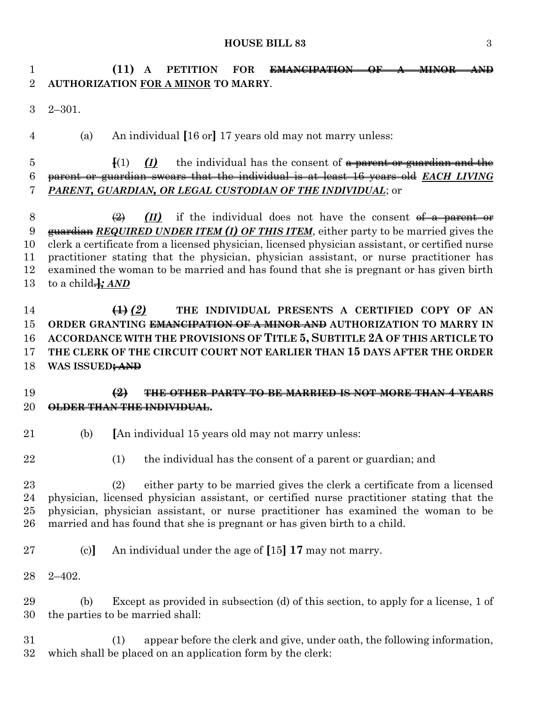#### **HOUSE BILL 83** 3

 **(11) A PETITION FOR EMANCIPATION OF A MINOR AND AUTHORIZATION FOR A MINOR TO MARRY**.

2–301.

(a) An individual **[**16 or**]** 17 years old may not marry unless:

 **[**(1) *(I)* the individual has the consent of a parent or guardian and the parent or guardian swears that the individual is at least 16 years old *EACH LIVING PARENT, GUARDIAN, OR LEGAL CUSTODIAN OF THE INDIVIDUAL*; or

 $\left(\frac{2}{2}\right)$  *(II)* if the individual does not have the consent <del>of a parent or</del> guardian *REQUIRED UNDER ITEM (I) OF THIS ITEM*, either party to be married gives the clerk a certificate from a licensed physician, licensed physician assistant, or certified nurse practitioner stating that the physician, physician assistant, or nurse practitioner has examined the woman to be married and has found that she is pregnant or has given birth to a child.**]***; AND*

 **(1)** *(2)* **THE INDIVIDUAL PRESENTS A CERTIFIED COPY OF AN ORDER GRANTING EMANCIPATION OF A MINOR AND AUTHORIZATION TO MARRY IN ACCORDANCE WITH THE PROVISIONS OF TITLE 5, SUBTITLE 2A OF THIS ARTICLE TO THE CLERK OF THE CIRCUIT COURT NOT EARLIER THAN 15 DAYS AFTER THE ORDER WAS ISSUED; AND**

### **(2) THE OTHER PARTY TO BE MARRIED IS NOT MORE THAN 4 YEARS OLDER THAN THE INDIVIDUAL.**

- (b) **[**An individual 15 years old may not marry unless:
- 

(1) the individual has the consent of a parent or guardian; and

- (2) either party to be married gives the clerk a certificate from a licensed physician, licensed physician assistant, or certified nurse practitioner stating that the physician, physician assistant, or nurse practitioner has examined the woman to be
- (c)**]** An individual under the age of **[**15**] 17** may not marry.

married and has found that she is pregnant or has given birth to a child.

2–402.

 (b) Except as provided in subsection (d) of this section, to apply for a license, 1 of the parties to be married shall:

 (1) appear before the clerk and give, under oath, the following information, which shall be placed on an application form by the clerk: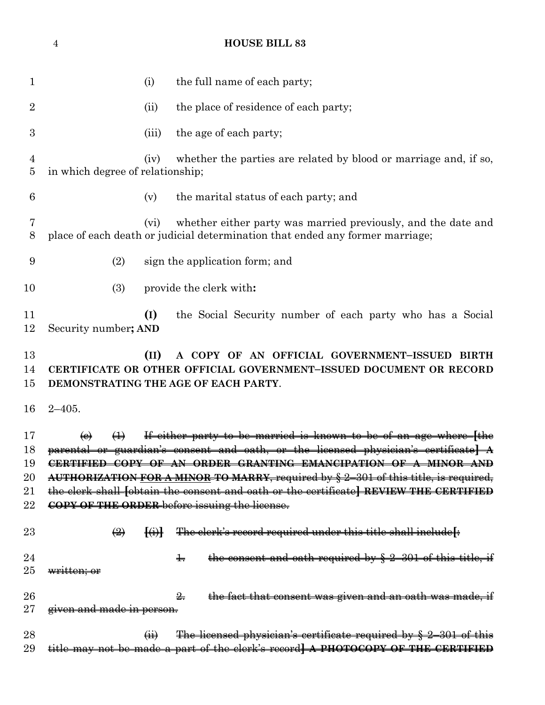**HOUSE BILL 83** 1 (i) the full name of each party; 2 (ii) the place of residence of each party; (iii) the age of each party; (iv) whether the parties are related by blood or marriage and, if so, in which degree of relationship; (v) the marital status of each party; and (vi) whether either party was married previously, and the date and place of each death or judicial determination that ended any former marriage; (2) sign the application form; and (3) provide the clerk with**: (I)** the Social Security number of each party who has a Social Security number**; AND (II) A COPY OF AN OFFICIAL GOVERNMENT–ISSUED BIRTH CERTIFICATE OR OTHER OFFICIAL GOVERNMENT–ISSUED DOCUMENT OR RECORD DEMONSTRATING THE AGE OF EACH PARTY**. 2–405. (c) (1) If either party to be married is known to be of an age where **[**the parental or guardian's consent and oath, or the licensed physician's certificate**] A CERTIFIED COPY OF AN ORDER GRANTING EMANCIPATION OF A MINOR AND AUTHORIZATION FOR A MINOR TO MARRY**, required by § 2–301 of this title, is required, the clerk shall **[**obtain the consent and oath or the certificate**] REVIEW THE CERTIFIED COPY OF THE ORDER** before issuing the license. (2) **[**(i)**]** The clerk's record required under this title shall include**[**: 2. the consent and oath required by  $\frac{1}{2}$ . written; or  $\frac{2}{15}$  the fact that consent was given and an oath was made, if **given and made in person.** 28 (ii) The licensed physician's certificate required by  $\frac{1}{2}$ –301 of this title may not be made a part of the clerk's record**] A PHOTOCOPY OF THE CERTIFIED**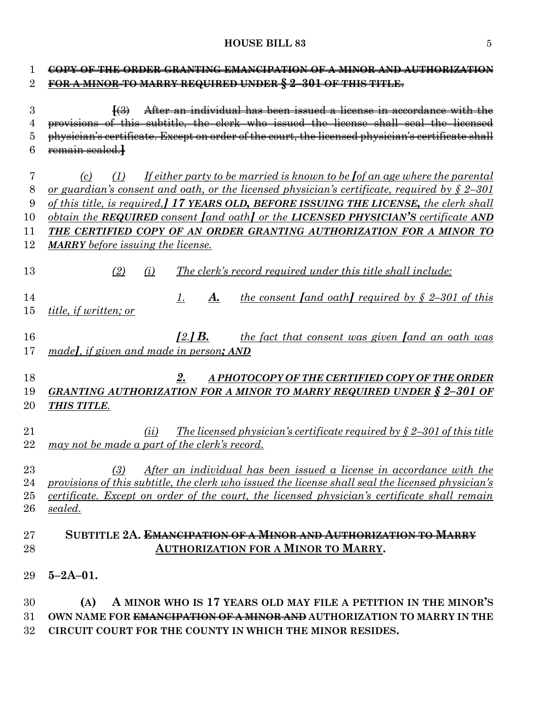## **HOUSE BILL 83** 5

| $\mathbf 1$    | COPY OF THE ORDER GRANTING EMANCIPATION OF A MINOR AND AUTHORIZATION                                                 |
|----------------|----------------------------------------------------------------------------------------------------------------------|
| $\overline{2}$ | FOR A MINOR TO MARRY REQUIRED UNDER § 2-301 OF THIS TITLE.                                                           |
| 3              | After an individual has been issued a license in accordance with the<br>$\ket{43}$                                   |
| 4              | provisions of this subtitle, the clerk who issued the license shall seal the licensed                                |
| 5              | physician's certificate. Except on order of the court, the licensed physician's certificate shall                    |
| 6              | remain sealed.                                                                                                       |
| 7              | If either party to be married is known to be fof an age where the parental<br>(c)<br>(1)                             |
| 8              | <u>or guardian's consent and oath, or the licensed physician's certificate, required by <math>\zeta</math> 2-301</u> |
| 9              | of this title, is required, 17 YEARS OLD, BEFORE ISSUING THE LICENSE, the clerk shall                                |
| 10             | obtain the REQUIRED consent [and oath] or the LICENSED PHYSICIAN'S certificate AND                                   |
| 11             | THE CERTIFIED COPY OF AN ORDER GRANTING AUTHORIZATION FOR A MINOR TO                                                 |
| 12             | <b>MARRY</b> before issuing the license.                                                                             |
| 13             | (2)<br>(i)<br>The clerk's record required under this title shall include:                                            |
| 14             | <i>the consent [and oath] required by <math>\frac{6}{5}</math> 2-301 of this</i><br>A.<br>1.                         |
| 15             | <i>title, if written; or</i>                                                                                         |
|                |                                                                                                                      |
| 16             | $[2.]$ B.<br>the fact that consent was given <i>fand</i> an oath was                                                 |
| 17             | madel, if given and made in person; AND                                                                              |
|                |                                                                                                                      |
| 18             | 2.<br>A PHOTOCOPY OF THE CERTIFIED COPY OF THE ORDER                                                                 |
| 19             | <u>GRANTING AUTHORIZATION FOR A MINOR TO MARRY REQUIRED UNDER § 2-301 OF</u>                                         |
| 20             | THIS TITLE.                                                                                                          |
|                |                                                                                                                      |
| 21             | The licensed physician's certificate required by $\S 2-301$ of this title<br>(ii)                                    |
| 22             | may not be made a part of the clerk's record.                                                                        |
|                |                                                                                                                      |
| 23             | After an individual has been issued a license in accordance with the<br>(3)                                          |
| 24             | provisions of this subtitle, the clerk who issued the license shall seal the licensed physician's                    |
| 25             | certificate. Except on order of the court, the licensed physician's certificate shall remain                         |
| 26             | sealed.                                                                                                              |
|                |                                                                                                                      |
| $27\,$         | SUBTITLE 2A. <del>EMANCIPATION OF A MINOR AND AUTHORIZATION TO MARRY</del>                                           |
| 28             | <b>AUTHORIZATION FOR A MINOR TO MARRY.</b>                                                                           |
|                |                                                                                                                      |
| 29             | $5 - 2A - 01$ .                                                                                                      |
| 30             | A MINOR WHO IS 17 YEARS OLD MAY FILE A PETITION IN THE MINOR'S<br>(A)                                                |
| 31             | OWN NAME FOR <del>EMANCIPATION OF A MINOR AND</del> AUTHORIZATION TO MARRY IN THE                                    |
| $32\,$         | CIRCUIT COURT FOR THE COUNTY IN WHICH THE MINOR RESIDES.                                                             |
|                |                                                                                                                      |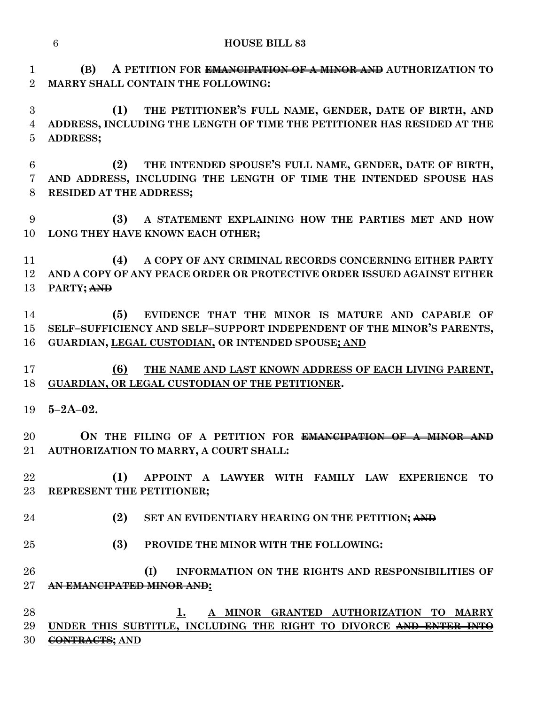**(B) A PETITION FOR EMANCIPATION OF A MINOR AND AUTHORIZATION TO MARRY SHALL CONTAIN THE FOLLOWING:**

 **(1) THE PETITIONER'S FULL NAME, GENDER, DATE OF BIRTH, AND ADDRESS, INCLUDING THE LENGTH OF TIME THE PETITIONER HAS RESIDED AT THE ADDRESS;**

 **(2) THE INTENDED SPOUSE'S FULL NAME, GENDER, DATE OF BIRTH, AND ADDRESS, INCLUDING THE LENGTH OF TIME THE INTENDED SPOUSE HAS RESIDED AT THE ADDRESS;**

 **(3) A STATEMENT EXPLAINING HOW THE PARTIES MET AND HOW LONG THEY HAVE KNOWN EACH OTHER;**

 **(4) A COPY OF ANY CRIMINAL RECORDS CONCERNING EITHER PARTY AND A COPY OF ANY PEACE ORDER OR PROTECTIVE ORDER ISSUED AGAINST EITHER PARTY; AND**

 **(5) EVIDENCE THAT THE MINOR IS MATURE AND CAPABLE OF SELF–SUFFICIENCY AND SELF–SUPPORT INDEPENDENT OF THE MINOR'S PARENTS, GUARDIAN, LEGAL CUSTODIAN, OR INTENDED SPOUSE; AND**

 **(6) THE NAME AND LAST KNOWN ADDRESS OF EACH LIVING PARENT, GUARDIAN, OR LEGAL CUSTODIAN OF THE PETITIONER.**

**5–2A–02.**

 **ON THE FILING OF A PETITION FOR EMANCIPATION OF A MINOR AND AUTHORIZATION TO MARRY, A COURT SHALL:**

 **(1) APPOINT A LAWYER WITH FAMILY LAW EXPERIENCE TO REPRESENT THE PETITIONER;**

- **(2) SET AN EVIDENTIARY HEARING ON THE PETITION; AND**
- **(3) PROVIDE THE MINOR WITH THE FOLLOWING:**

 **(I) INFORMATION ON THE RIGHTS AND RESPONSIBILITIES OF AN EMANCIPATED MINOR AND:**

 **1. A MINOR GRANTED AUTHORIZATION TO MARRY UNDER THIS SUBTITLE, INCLUDING THE RIGHT TO DIVORCE AND ENTER INTO CONTRACTS; AND**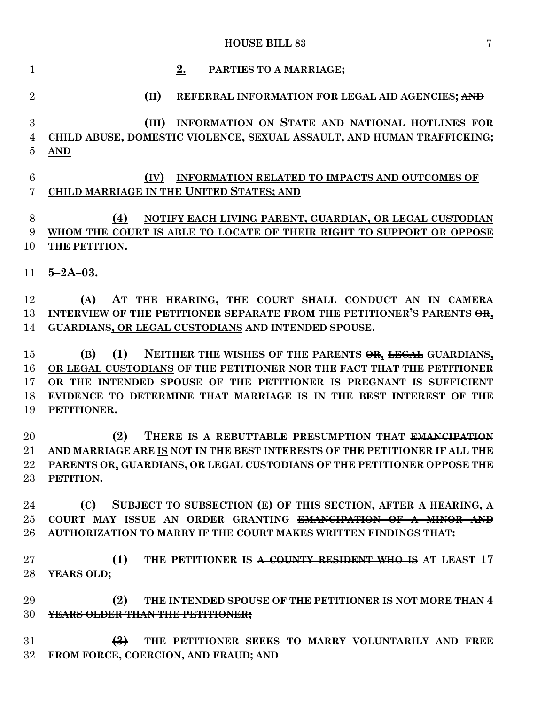## **HOUSE BILL 83** 7

| $\mathbf{1}$               | 2.<br>PARTIES TO A MARRIAGE;                                                                                                                                                                                                                                                                              |
|----------------------------|-----------------------------------------------------------------------------------------------------------------------------------------------------------------------------------------------------------------------------------------------------------------------------------------------------------|
| $\overline{2}$             | (II)<br>REFERRAL INFORMATION FOR LEGAL AID AGENCIES; AND                                                                                                                                                                                                                                                  |
| 3<br>$\overline{4}$<br>5   | (III) INFORMATION ON STATE AND NATIONAL HOTLINES FOR<br>CHILD ABUSE, DOMESTIC VIOLENCE, SEXUAL ASSAULT, AND HUMAN TRAFFICKING;<br><b>AND</b>                                                                                                                                                              |
| $\,6$<br>7                 | INFORMATION RELATED TO IMPACTS AND OUTCOMES OF<br>(IV)<br>CHILD MARRIAGE IN THE UNITED STATES; AND                                                                                                                                                                                                        |
| 8<br>9<br>10               | (4)<br>NOTIFY EACH LIVING PARENT, GUARDIAN, OR LEGAL CUSTODIAN<br>WHOM THE COURT IS ABLE TO LOCATE OF THEIR RIGHT TO SUPPORT OR OPPOSE<br>THE PETITION.                                                                                                                                                   |
|                            | $11 \quad 5 - 2A - 03.$                                                                                                                                                                                                                                                                                   |
| 12<br>13<br>14             | AT THE HEARING, THE COURT SHALL CONDUCT AN IN CAMERA<br>(A)<br>INTERVIEW OF THE PETITIONER SEPARATE FROM THE PETITIONER'S PARENTS OR,<br>GUARDIANS, OR LEGAL CUSTODIANS AND INTENDED SPOUSE.                                                                                                              |
| 15<br>16<br>17<br>18<br>19 | NEITHER THE WISHES OF THE PARENTS OR, LEGAL GUARDIANS,<br>(1)<br>(B)<br>OR LEGAL CUSTODIANS OF THE PETITIONER NOR THE FACT THAT THE PETITIONER<br>OR THE INTENDED SPOUSE OF THE PETITIONER IS PREGNANT IS SUFFICIENT<br>EVIDENCE TO DETERMINE THAT MARRIAGE IS IN THE BEST INTEREST OF THE<br>PETITIONER. |
| 20<br>21<br>$\bf 22$<br>23 | THERE IS A REBUTTABLE PRESUMPTION THAT EMANCIPATION<br>(2)<br>AND MARRIAGE ARE IS NOT IN THE BEST INTERESTS OF THE PETITIONER IF ALL THE<br>PARENTS OR, GUARDIANS, OR LEGAL CUSTODIANS OF THE PETITIONER OPPOSE THE<br>PETITION.                                                                          |
| 24<br>25<br>26             | SUBJECT TO SUBSECTION (E) OF THIS SECTION, AFTER A HEARING, A<br>(C)<br>COURT MAY ISSUE AN ORDER GRANTING <del>EMANCIPATION OF A MINOR AND</del><br>AUTHORIZATION TO MARRY IF THE COURT MAKES WRITTEN FINDINGS THAT:                                                                                      |
| 27<br>28                   | (1)<br>THE PETITIONER IS A COUNTY RESIDENT WHO IS AT LEAST 17<br>YEARS OLD;                                                                                                                                                                                                                               |
| 29<br>30                   | (2)<br><b>THE INTENDED SPOUSE OF THE PETITIONER IS NOT MORE THAN 4</b><br><b>YEARS OLDER THAN THE PETITIONER;</b>                                                                                                                                                                                         |
| 31<br>32                   | $\left(\frac{3}{2}\right)$<br>THE PETITIONER SEEKS TO MARRY VOLUNTARILY AND FREE<br>FROM FORCE, COERCION, AND FRAUD; AND                                                                                                                                                                                  |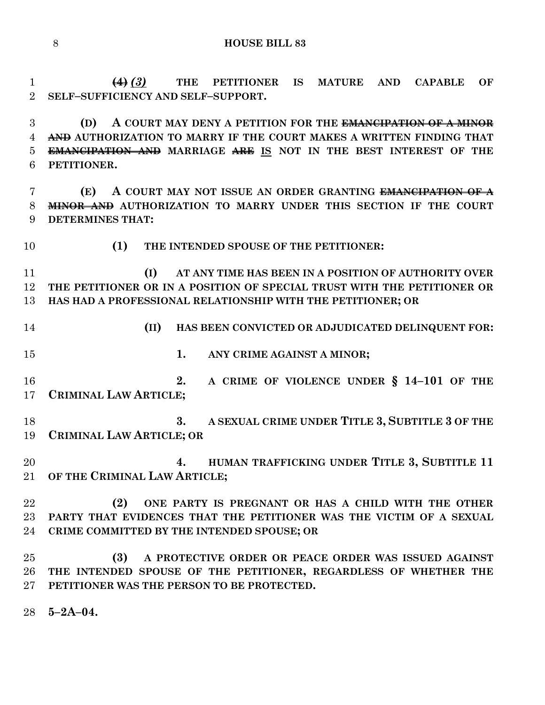**(4)** *(3)* **THE PETITIONER IS MATURE AND CAPABLE OF SELF–SUFFICIENCY AND SELF–SUPPORT.**

 **(D) A COURT MAY DENY A PETITION FOR THE EMANCIPATION OF A MINOR AND AUTHORIZATION TO MARRY IF THE COURT MAKES A WRITTEN FINDING THAT EMANCIPATION AND MARRIAGE ARE IS NOT IN THE BEST INTEREST OF THE PETITIONER.**

 **(E) A COURT MAY NOT ISSUE AN ORDER GRANTING EMANCIPATION OF A MINOR AND AUTHORIZATION TO MARRY UNDER THIS SECTION IF THE COURT DETERMINES THAT:**

**(1) THE INTENDED SPOUSE OF THE PETITIONER:**

 **(I) AT ANY TIME HAS BEEN IN A POSITION OF AUTHORITY OVER THE PETITIONER OR IN A POSITION OF SPECIAL TRUST WITH THE PETITIONER OR HAS HAD A PROFESSIONAL RELATIONSHIP WITH THE PETITIONER; OR**

 **(II) HAS BEEN CONVICTED OR ADJUDICATED DELINQUENT FOR: 1. ANY CRIME AGAINST A MINOR; 2. A CRIME OF VIOLENCE UNDER § 14–101 OF THE CRIMINAL LAW ARTICLE; 3. A SEXUAL CRIME UNDER TITLE 3, SUBTITLE 3 OF THE CRIMINAL LAW ARTICLE; OR 4. HUMAN TRAFFICKING UNDER TITLE 3, SUBTITLE 11 OF THE CRIMINAL LAW ARTICLE; (2) ONE PARTY IS PREGNANT OR HAS A CHILD WITH THE OTHER PARTY THAT EVIDENCES THAT THE PETITIONER WAS THE VICTIM OF A SEXUAL CRIME COMMITTED BY THE INTENDED SPOUSE; OR (3) A PROTECTIVE ORDER OR PEACE ORDER WAS ISSUED AGAINST THE INTENDED SPOUSE OF THE PETITIONER, REGARDLESS OF WHETHER THE PETITIONER WAS THE PERSON TO BE PROTECTED.**

**5–2A–04.**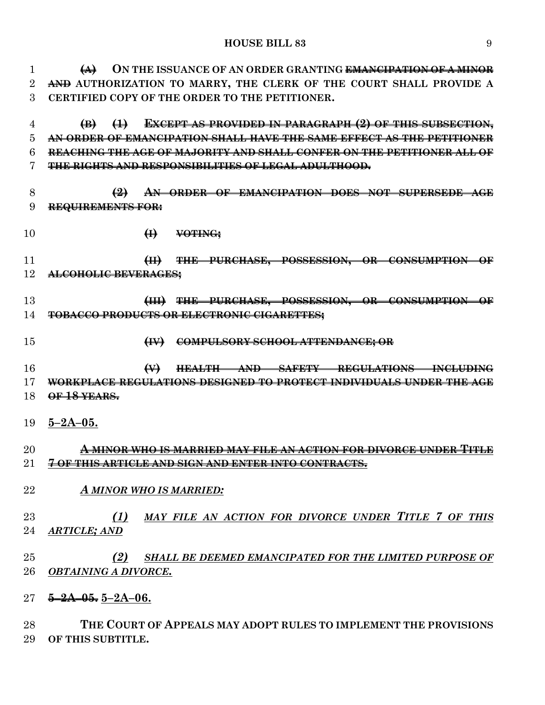**(A) ON THE ISSUANCE OF AN ORDER GRANTING EMANCIPATION OF A MINOR AND AUTHORIZATION TO MARRY, THE CLERK OF THE COURT SHALL PROVIDE A CERTIFIED COPY OF THE ORDER TO THE PETITIONER.**

 **(B) (1) EXCEPT AS PROVIDED IN PARAGRAPH (2) OF THIS SUBSECTION, AN ORDER OF EMANCIPATION SHALL HAVE THE SAME EFFECT AS THE PETITIONER REACHING THE AGE OF MAJORITY AND SHALL CONFER ON THE PETITIONER ALL OF THE RIGHTS AND RESPONSIBILITIES OF LEGAL ADULTHOOD.**

- **(2) AN ORDER OF EMANCIPATION DOES NOT SUPERSEDE AGE REQUIREMENTS FOR:**
- **(I) VOTING;**
- **(II) THE PURCHASE, POSSESSION, OR CONSUMPTION OF ALCOHOLIC BEVERAGES;**
- **(III) THE PURCHASE, POSSESSION, OR CONSUMPTION OF TOBACCO PRODUCTS OR ELECTRONIC CIGARETTES;**
- **(IV) COMPULSORY SCHOOL ATTENDANCE; OR**
- **(V) HEALTH AND SAFETY REGULATIONS INCLUDING WORKPLACE REGULATIONS DESIGNED TO PROTECT INDIVIDUALS UNDER THE AGE OF 18 YEARS.**
- **5–2A–05.**

## **A MINOR WHO IS MARRIED MAY FILE AN ACTION FOR DIVORCE UNDER TITLE 7 OF THIS ARTICLE AND SIGN AND ENTER INTO CONTRACTS.**

- *A MINOR WHO IS MARRIED:*
- *(1) MAY FILE AN ACTION FOR DIVORCE UNDER TITLE 7 OF THIS ARTICLE; AND*
- *(2) SHALL BE DEEMED EMANCIPATED FOR THE LIMITED PURPOSE OF OBTAINING A DIVORCE.*
- **5–2A–05. 5–2A–06.**

 **THE COURT OF APPEALS MAY ADOPT RULES TO IMPLEMENT THE PROVISIONS OF THIS SUBTITLE.**